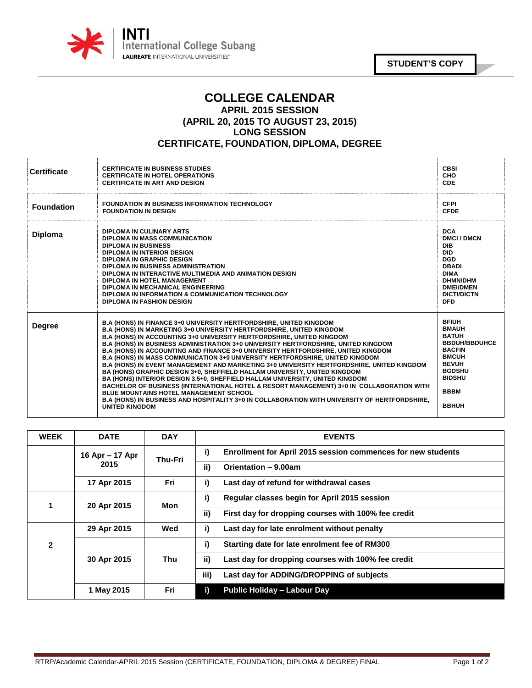

**STUDENT'S COPY**

## **COLLEGE CALENDAR APRIL 2015 SESSION (APRIL 20, 2015 TO AUGUST 23, 2015) LONG SESSION CERTIFICATE, FOUNDATION, DIPLOMA, DEGREE**

| <b>Certificate</b> | <b>CERTIFICATE IN BUSINESS STUDIES</b><br><b>CERTIFICATE IN HOTEL OPERATIONS</b><br><b>CERTIFICATE IN ART AND DESIGN</b>                                                                                                                                                                                                                                                                                                                                                                                                                                                                                                                                                                                                                                                                                                                                                                                                                                                                                                              | <b>CBSI</b><br><b>CHO</b><br><b>CDE</b>                                                                                                                                                |
|--------------------|---------------------------------------------------------------------------------------------------------------------------------------------------------------------------------------------------------------------------------------------------------------------------------------------------------------------------------------------------------------------------------------------------------------------------------------------------------------------------------------------------------------------------------------------------------------------------------------------------------------------------------------------------------------------------------------------------------------------------------------------------------------------------------------------------------------------------------------------------------------------------------------------------------------------------------------------------------------------------------------------------------------------------------------|----------------------------------------------------------------------------------------------------------------------------------------------------------------------------------------|
| <b>Foundation</b>  | <b>FOUNDATION IN BUSINESS INFORMATION TECHNOLOGY</b><br><b>FOUNDATION IN DESIGN</b>                                                                                                                                                                                                                                                                                                                                                                                                                                                                                                                                                                                                                                                                                                                                                                                                                                                                                                                                                   | <b>CFPI</b><br><b>CFDE</b>                                                                                                                                                             |
| <b>Diploma</b>     | <b>DIPLOMA IN CULINARY ARTS</b><br>DIPLOMA IN MASS COMMUNICATION<br><b>DIPLOMA IN BUSINESS</b><br>DIPLOMA IN INTERIOR DESIGN<br><b>DIPLOMA IN GRAPHIC DESIGN</b><br>DIPLOMA IN BUSINESS ADMINISTRATION<br>DIPLOMA IN INTERACTIVE MULTIMEDIA AND ANIMATION DESIGN<br>DIPLOMA IN HOTEL MANAGEMENT<br>DIPLOMA IN MECHANICAL ENGINEERING<br><b>DIPLOMA IN INFORMATION &amp; COMMUNICATION TECHNOLOGY</b><br><b>DIPLOMA IN FASHION DESIGN</b>                                                                                                                                                                                                                                                                                                                                                                                                                                                                                                                                                                                              | <b>DCA</b><br><b>DMCI/DMCN</b><br><b>DIB</b><br><b>DID</b><br><b>DGD</b><br><b>DBADI</b><br><b>DIMA</b><br><b>DHMN/DHM</b><br><b>DMEI/DMEN</b><br><b>DICTI/DICTN</b><br><b>DFD</b>     |
| <b>Degree</b>      | <b>B.A (HONS) IN FINANCE 3+0 UNIVERSITY HERTFORDSHIRE, UNITED KINGDOM</b><br><b>B.A (HONS) IN MARKETING 3+0 UNIVERSITY HERTFORDSHIRE, UNITED KINGDOM</b><br>B.A (HONS) IN ACCOUNTING 3+0 UNIVERSITY HERTFORDSHIRE, UNITED KINGDOM<br>B.A (HONS) IN BUSINESS ADMINISTRATION 3+0 UNIVERSITY HERTFORDSHIRE, UNITED KINGDOM<br>B.A (HONS) IN ACCOUNTING AND FINANCE 3+0 UNIVERSITY HERTFORDSHIRE, UNITED KINGDOM<br><b>B.A (HONS) IN MASS COMMUNICATION 3+0 UNIVERSITY HERTFORDSHIRE, UNITED KINGDOM</b><br>B.A (HONS) IN EVENT MANAGEMENT AND MARKETING 3+0 UNIVERSITY HERTFORDSHIRE, UNITED KINGDOM<br>BA (HONS) GRAPHIC DESIGN 3+0, SHEFFIELD HALLAM UNIVERSITY, UNITED KINGDOM<br>BA (HONS) INTERIOR DESIGN 3.5+0, SHEFFIELD HALLAM UNIVERSITY, UNITED KINGDOM<br>BACHELOR OF BUSINESS (INTERNATIONAL HOTEL & RESORT MANAGEMENT) 3+0 IN COLLABORATION WITH<br><b>BLUE MOUNTAINS HOTEL MANAGEMENT SCHOOL</b><br>B.A (HONS) IN BUSINESS AND HOSPITALITY 3+0 IN COLLABORATION WITH UNIVERSITY OF HERTFORDSHIRE,<br><b>UNITED KINGDOM</b> | <b>BFIUH</b><br><b>BMAUH</b><br><b>BATUH</b><br><b>BBDUH/BBDUHCE</b><br><b>BACFIN</b><br><b>BMCUH</b><br><b>BEVUH</b><br><b>BGDSHU</b><br><b>BIDSHU</b><br><b>BBBM</b><br><b>BBHUH</b> |

| <b>WEEK</b>    | <b>DATE</b>     | <b>DAY</b>     | <b>EVENTS</b>                                                             |
|----------------|-----------------|----------------|---------------------------------------------------------------------------|
|                | 16 Apr – 17 Apr | <b>Thu-Fri</b> | i)<br><b>Enrollment for April 2015 session commences for new students</b> |
|                | 2015            |                | ii)<br>Orientation - 9.00am                                               |
|                | 17 Apr 2015     | Fri            | i)<br>Last day of refund for withdrawal cases                             |
|                | 20 Apr 2015     | Mon            | i)<br>Regular classes begin for April 2015 session                        |
|                |                 |                | ii)<br>First day for dropping courses with 100% fee credit                |
|                | 29 Apr 2015     | Wed            | i)<br>Last day for late enrolment without penalty                         |
| $\overline{2}$ | 30 Apr 2015     | Thu            | i)<br>Starting date for late enrolment fee of RM300                       |
|                |                 |                | ii)<br>Last day for dropping courses with 100% fee credit                 |
|                |                 |                | iii)<br>Last day for ADDING/DROPPING of subjects                          |
|                | 1 May 2015      | Fri            | i)<br><b>Public Holiday - Labour Day</b>                                  |